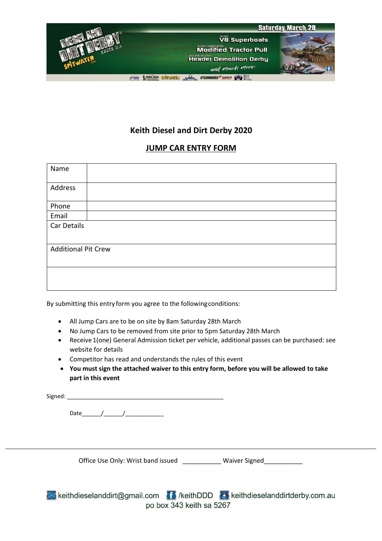

# **Keith Diesel and Dirt Derby 2020**

## **JUMP CAR ENTRY FORM**

| Name                       |  |  |  |  |
|----------------------------|--|--|--|--|
| Address                    |  |  |  |  |
| Phone                      |  |  |  |  |
| Email                      |  |  |  |  |
| Car Details                |  |  |  |  |
| <b>Additional Pit Crew</b> |  |  |  |  |
|                            |  |  |  |  |

By submitting this entry form you agree to the followingconditions:

- All Jump Cars are to be on site by 8am Saturday 28th March
- No Jump Cars to be removed from site prior to 5pm Saturday 28th March
- Receive 1(one) General Admission ticket per vehicle, additional passes can be purchased: see website for details
- Competitor has read and understands the rules of this event
- **You must sign the attached waiver to this entry form, before you will be allowed to take part in this event**

| Signed: |  |  |
|---------|--|--|
|         |  |  |
|         |  |  |
|         |  |  |

Office Use Only: Wrist band issued Waiver Signed

keithdieselanddirt@gmail.com fil /keithDDD & keithdieselanddirtderby.com.au po box 343 keith sa 5267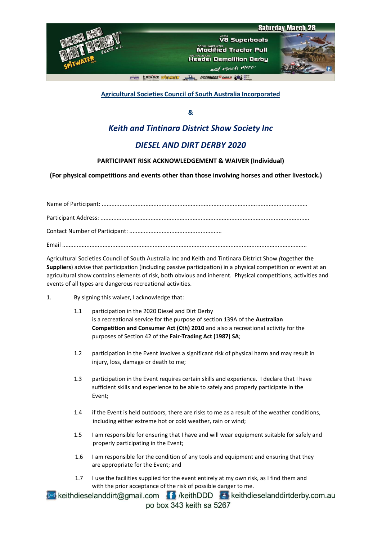



**A TRONDACK SPITERED WAS SERVED O'CONNORS** CASE A PART

### **Agricultural Societies Council of South Australia Incorporated**

**&**

## *Keith and Tintinara District Show Society Inc*

## *DIESEL AND DIRT DERBY 2020*

#### **PARTICIPANT RISK ACKNOWLEDGEMENT & WAIVER (Individual)**

 **(For physical competitions and events other than those involving horses and other livestock.)**

Name of Participant: ............................................................................................................................... Participant Address: ................................................................................................................................. Contact Number of Participant: ......................................................... Email .......................................................................................................................................................

Agricultural Societies Council of South Australia Inc and Keith and Tintinara District Show *(*together **the Suppliers**) advise that participation (including passive participation) in a physical competition or event at an agricultural show contains elements of risk, both obvious and inherent. Physical competitions, activities and events of all types are dangerous recreational activities.

- 1. By signing this waiver, I acknowledge that:
	- 1.1 participation in the 2020 Diesel and Dirt Derby is a recreational service for the purpose of section 139A of the **Australian Competition and Consumer Act (Cth) 2010** and also a recreational activity for the purposes of Section 42 of the **Fair-Trading Act (1987) SA**;
	- 1.2 participation in the Event involves a significant risk of physical harm and may result in injury, loss, damage or death to me;
	- 1.3 participation in the Event requires certain skills and experience. I declare that I have sufficient skills and experience to be able to safely and properly participate in the Event;
	- 1.4 if the Event is held outdoors, there are risks to me as a result of the weather conditions, including either extreme hot or cold weather, rain or wind;
	- 1.5 I am responsible for ensuring that I have and will wear equipment suitable for safely and properly participating in the Event;
	- 1.6 I am responsible for the condition of any tools and equipment and ensuring that they are appropriate for the Event; and
	- 1.7 I use the facilities supplied for the event entirely at my own risk, as I find them and with the prior acceptance of the risk of possible danger to me.

keithdieselanddirt@gmail.com fi /keithDDD b keithdieselanddirtderby.com.au po box 343 keith sa 5267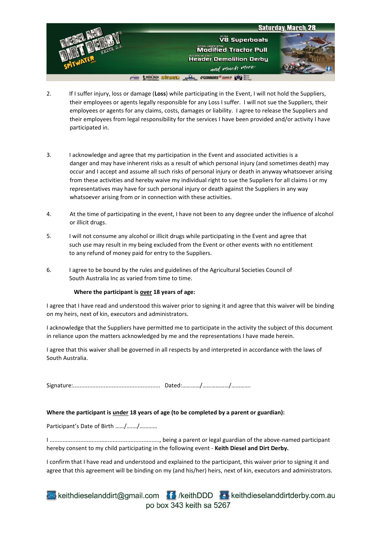

- 2. If I suffer injury, loss or damage (**Loss**) while participating in the Event, I will not hold the Suppliers, their employees or agents legally responsible for any Loss I suffer. I will not sue the Suppliers, their employees or agents for any claims, costs, damages or liability. I agree to release the Suppliers and their employees from legal responsibility for the services I have been provided and/or activity I have participated in.
- 3. I acknowledge and agree that my participation in the Event and associated activities is a danger and may have inherent risks as a result of which personal injury (and sometimes death) may occur and I accept and assume all such risks of personal injury or death in anyway whatsoever arising from these activities and hereby waive my individual right to sue the Suppliers for all claims I or my representatives may have for such personal injury or death against the Suppliers in any way whatsoever arising from or in connection with these activities.
- 4. At the time of participating in the event, I have not been to any degree under the influence of alcohol or illicit drugs.
- 5. I will not consume any alcohol or illicit drugs while participating in the Event and agree that such use may result in my being excluded from the Event or other events with no entitlement to any refund of money paid for entry to the Suppliers.
- 6. I agree to be bound by the rules and guidelines of the Agricultural Societies Council of South Australia Inc as varied from time to time.

#### **Where the participant is over 18 years of age:**

I agree that I have read and understood this waiver prior to signing it and agree that this waiver will be binding on my heirs, next of kin, executors and administrators.

I acknowledge that the Suppliers have permitted me to participate in the activity the subject of this document in reliance upon the matters acknowledged by me and the representations I have made herein.

I agree that this waiver shall be governed in all respects by and interpreted in accordance with the laws of South Australia.

Signature:...................................................... Dated:…………/………………/………….

#### **Where the participant is under 18 years of age (to be completed by a parent or guardian):**

Participant's Date of Birth ……/….…/…………

I ...................................................................., being a parent or legal guardian of the above-named participant hereby consent to my child participating in the following event - **Keith Diesel and Dirt Derby.**

I confirm that I have read and understood and explained to the participant, this waiver prior to signing it and agree that this agreement will be binding on my (and his/her) heirs, next of kin, executors and administrators.